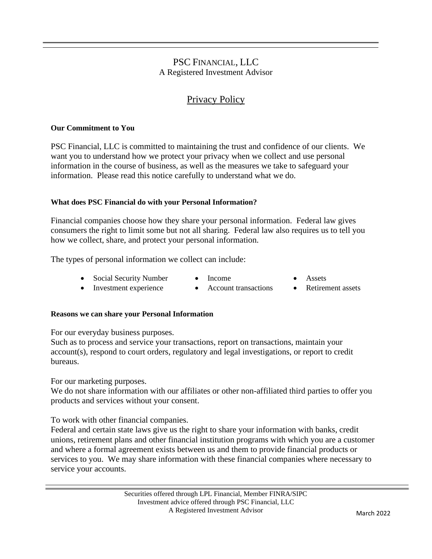## PSC FINANCIAL, LLC A Registered Investment Advisor

# Privacy Policy

## **Our Commitment to You**

PSC Financial, LLC is committed to maintaining the trust and confidence of our clients. We want you to understand how we protect your privacy when we collect and use personal information in the course of business, as well as the measures we take to safeguard your information. Please read this notice carefully to understand what we do.

### **What does PSC Financial do with your Personal Information?**

Financial companies choose how they share your personal information. Federal law gives consumers the right to limit some but not all sharing. Federal law also requires us to tell you how we collect, share, and protect your personal information.

The types of personal information we collect can include:

- Social Security Number Income Assets
	-
- 
- Investment experience Account transactions Retirement assets
- 
- 

## **Reasons we can share your Personal Information**

For our everyday business purposes.

Such as to process and service your transactions, report on transactions, maintain your account(s), respond to court orders, regulatory and legal investigations, or report to credit bureaus.

For our marketing purposes.

We do not share information with our affiliates or other non-affiliated third parties to offer you products and services without your consent.

To work with other financial companies.

Federal and certain state laws give us the right to share your information with banks, credit unions, retirement plans and other financial institution programs with which you are a customer and where a formal agreement exists between us and them to provide financial products or services to you. We may share information with these financial companies where necessary to service your accounts.